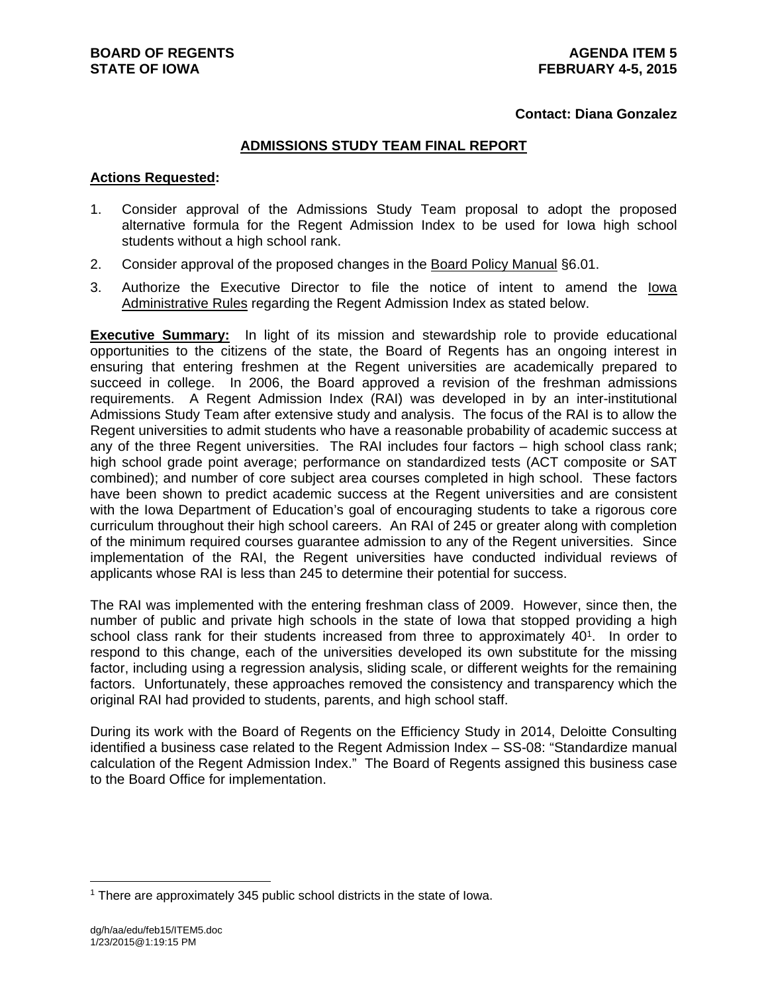## **Contact: Diana Gonzalez**

## **ADMISSIONS STUDY TEAM FINAL REPORT**

#### **Actions Requested:**

- 1. Consider approval of the Admissions Study Team proposal to adopt the proposed alternative formula for the Regent Admission Index to be used for Iowa high school students without a high school rank.
- 2. Consider approval of the proposed changes in the Board Policy Manual §6.01.
- 3. Authorize the Executive Director to file the notice of intent to amend the Iowa Administrative Rules regarding the Regent Admission Index as stated below.

**Executive Summary:** In light of its mission and stewardship role to provide educational opportunities to the citizens of the state, the Board of Regents has an ongoing interest in ensuring that entering freshmen at the Regent universities are academically prepared to succeed in college. In 2006, the Board approved a revision of the freshman admissions requirements. A Regent Admission Index (RAI) was developed in by an inter-institutional Admissions Study Team after extensive study and analysis. The focus of the RAI is to allow the Regent universities to admit students who have a reasonable probability of academic success at any of the three Regent universities. The RAI includes four factors – high school class rank; high school grade point average; performance on standardized tests (ACT composite or SAT combined); and number of core subject area courses completed in high school. These factors have been shown to predict academic success at the Regent universities and are consistent with the Iowa Department of Education's goal of encouraging students to take a rigorous core curriculum throughout their high school careers. An RAI of 245 or greater along with completion of the minimum required courses guarantee admission to any of the Regent universities. Since implementation of the RAI, the Regent universities have conducted individual reviews of applicants whose RAI is less than 245 to determine their potential for success.

The RAI was implemented with the entering freshman class of 2009. However, since then, the number of public and private high schools in the state of Iowa that stopped providing a high school class rank for their students increased from three to approximately 40<sup>1</sup>. In order to respond to this change, each of the universities developed its own substitute for the missing factor, including using a regression analysis, sliding scale, or different weights for the remaining factors. Unfortunately, these approaches removed the consistency and transparency which the original RAI had provided to students, parents, and high school staff.

During its work with the Board of Regents on the Efficiency Study in 2014, Deloitte Consulting identified a business case related to the Regent Admission Index – SS-08: "Standardize manual calculation of the Regent Admission Index." The Board of Regents assigned this business case to the Board Office for implementation.

<sup>&</sup>lt;sup>1</sup> There are approximately 345 public school districts in the state of Iowa.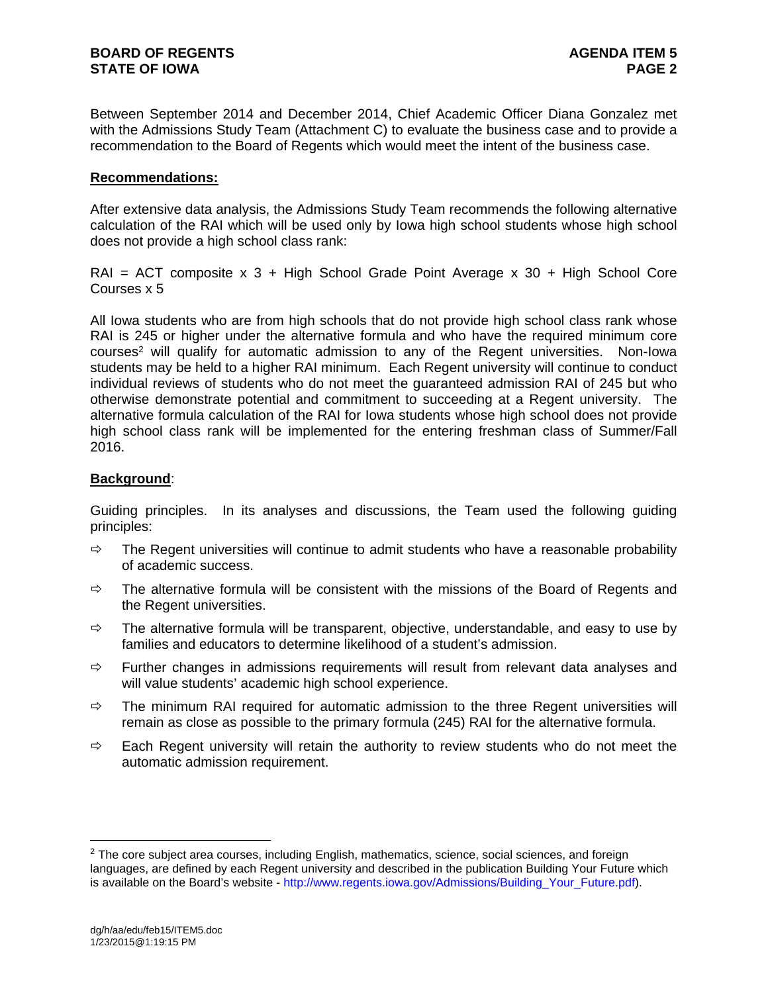Between September 2014 and December 2014, Chief Academic Officer Diana Gonzalez met with the Admissions Study Team (Attachment C) to evaluate the business case and to provide a recommendation to the Board of Regents which would meet the intent of the business case.

## **Recommendations:**

After extensive data analysis, the Admissions Study Team recommends the following alternative calculation of the RAI which will be used only by Iowa high school students whose high school does not provide a high school class rank:

 $RAI = ACT$  composite  $x 3 + High School Grade Point Average x 30 + High School Core$ Courses x 5

All Iowa students who are from high schools that do not provide high school class rank whose RAI is 245 or higher under the alternative formula and who have the required minimum core courses<sup>2</sup> will qualify for automatic admission to any of the Regent universities. Non-lowa students may be held to a higher RAI minimum. Each Regent university will continue to conduct individual reviews of students who do not meet the guaranteed admission RAI of 245 but who otherwise demonstrate potential and commitment to succeeding at a Regent university. The alternative formula calculation of the RAI for Iowa students whose high school does not provide high school class rank will be implemented for the entering freshman class of Summer/Fall 2016.

## **Background**:

Guiding principles. In its analyses and discussions, the Team used the following guiding principles:

- $\Rightarrow$  The Regent universities will continue to admit students who have a reasonable probability of academic success.
- $\Rightarrow$  The alternative formula will be consistent with the missions of the Board of Regents and the Regent universities.
- $\Rightarrow$  The alternative formula will be transparent, objective, understandable, and easy to use by families and educators to determine likelihood of a student's admission.
- $\Rightarrow$  Further changes in admissions requirements will result from relevant data analyses and will value students' academic high school experience.
- $\Rightarrow$  The minimum RAI required for automatic admission to the three Regent universities will remain as close as possible to the primary formula (245) RAI for the alternative formula.
- $\Rightarrow$  Each Regent university will retain the authority to review students who do not meet the automatic admission requirement.

 $2$  The core subject area courses, including English, mathematics, science, social sciences, and foreign languages, are defined by each Regent university and described in the publication Building Your Future which is available on the Board's website - http://www.regents.iowa.gov/Admissions/Building\_Your\_Future.pdf).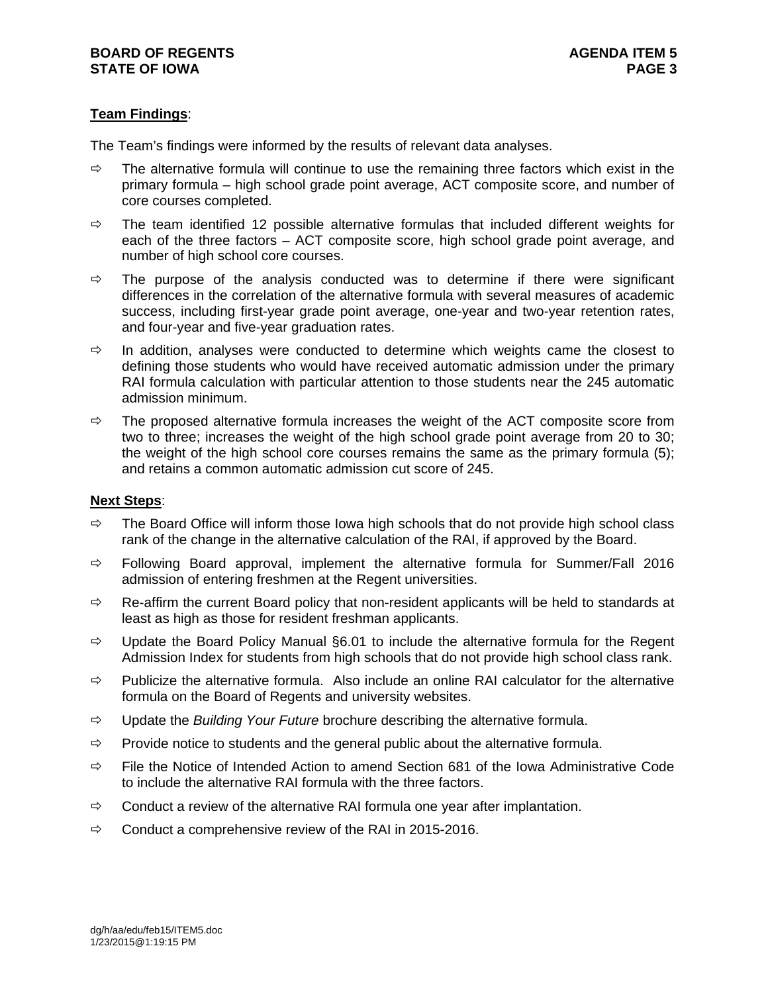# **Team Findings**:

The Team's findings were informed by the results of relevant data analyses.

- $\Rightarrow$  The alternative formula will continue to use the remaining three factors which exist in the primary formula – high school grade point average, ACT composite score, and number of core courses completed.
- $\Rightarrow$  The team identified 12 possible alternative formulas that included different weights for each of the three factors – ACT composite score, high school grade point average, and number of high school core courses.
- $\Rightarrow$  The purpose of the analysis conducted was to determine if there were significant differences in the correlation of the alternative formula with several measures of academic success, including first-year grade point average, one-year and two-year retention rates, and four-year and five-year graduation rates.
- $\Rightarrow$  In addition, analyses were conducted to determine which weights came the closest to defining those students who would have received automatic admission under the primary RAI formula calculation with particular attention to those students near the 245 automatic admission minimum.
- $\Rightarrow$  The proposed alternative formula increases the weight of the ACT composite score from two to three; increases the weight of the high school grade point average from 20 to 30; the weight of the high school core courses remains the same as the primary formula (5); and retains a common automatic admission cut score of 245.

## **Next Steps**:

- $\Rightarrow$  The Board Office will inform those lowa high schools that do not provide high school class rank of the change in the alternative calculation of the RAI, if approved by the Board.
- $\Rightarrow$  Following Board approval, implement the alternative formula for Summer/Fall 2016 admission of entering freshmen at the Regent universities.
- $\Rightarrow$  Re-affirm the current Board policy that non-resident applicants will be held to standards at least as high as those for resident freshman applicants.
- $\Rightarrow$  Update the Board Policy Manual §6.01 to include the alternative formula for the Regent Admission Index for students from high schools that do not provide high school class rank.
- $\Rightarrow$  Publicize the alternative formula. Also include an online RAI calculator for the alternative formula on the Board of Regents and university websites.
- Update the *Building Your Future* brochure describing the alternative formula.
- $\Rightarrow$  Provide notice to students and the general public about the alternative formula.
- $\Rightarrow$  File the Notice of Intended Action to amend Section 681 of the Iowa Administrative Code to include the alternative RAI formula with the three factors.
- $\Rightarrow$  Conduct a review of the alternative RAI formula one year after implantation.
- $\Rightarrow$  Conduct a comprehensive review of the RAI in 2015-2016.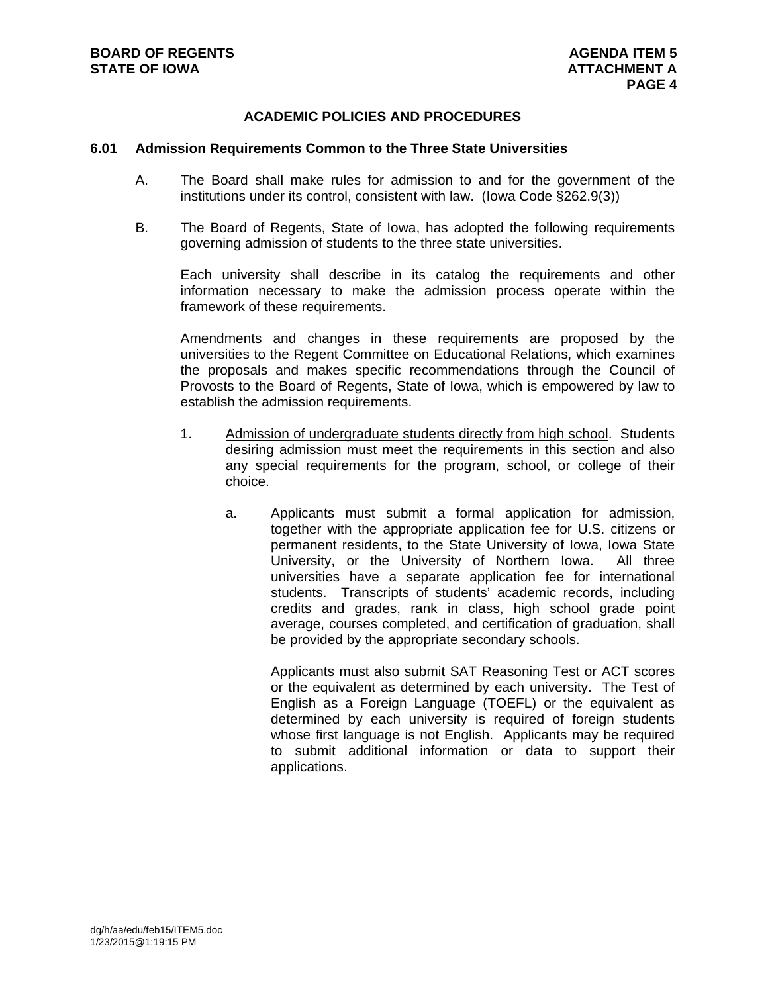# **ACADEMIC POLICIES AND PROCEDURES**

#### **6.01 Admission Requirements Common to the Three State Universities**

- A. The Board shall make rules for admission to and for the government of the institutions under its control, consistent with law. (Iowa Code §262.9(3))
- B. The Board of Regents, State of Iowa, has adopted the following requirements governing admission of students to the three state universities.

Each university shall describe in its catalog the requirements and other information necessary to make the admission process operate within the framework of these requirements.

Amendments and changes in these requirements are proposed by the universities to the Regent Committee on Educational Relations, which examines the proposals and makes specific recommendations through the Council of Provosts to the Board of Regents, State of Iowa, which is empowered by law to establish the admission requirements.

- 1. Admission of undergraduate students directly from high school. Students desiring admission must meet the requirements in this section and also any special requirements for the program, school, or college of their choice.
	- a. Applicants must submit a formal application for admission, together with the appropriate application fee for U.S. citizens or permanent residents, to the State University of Iowa, Iowa State University, or the University of Northern Iowa. All three universities have a separate application fee for international students. Transcripts of students' academic records, including credits and grades, rank in class, high school grade point average, courses completed, and certification of graduation, shall be provided by the appropriate secondary schools.

Applicants must also submit SAT Reasoning Test or ACT scores or the equivalent as determined by each university. The Test of English as a Foreign Language (TOEFL) or the equivalent as determined by each university is required of foreign students whose first language is not English. Applicants may be required to submit additional information or data to support their applications.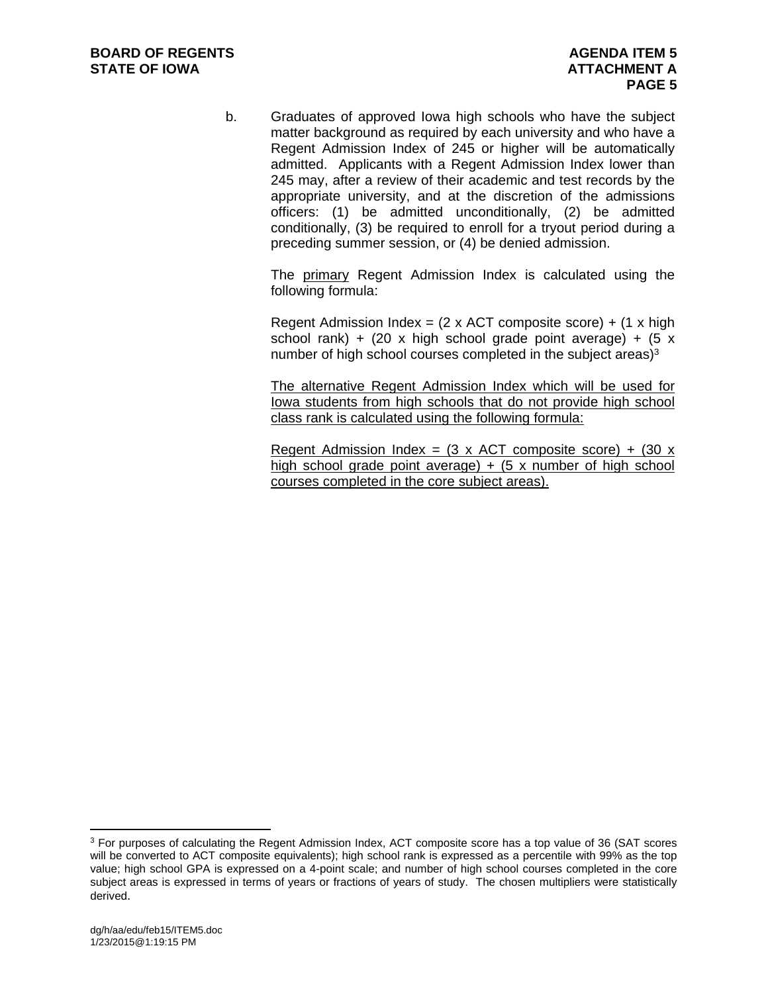b. Graduates of approved Iowa high schools who have the subject matter background as required by each university and who have a Regent Admission Index of 245 or higher will be automatically admitted. Applicants with a Regent Admission Index lower than 245 may, after a review of their academic and test records by the appropriate university, and at the discretion of the admissions officers: (1) be admitted unconditionally, (2) be admitted conditionally, (3) be required to enroll for a tryout period during a preceding summer session, or (4) be denied admission.

The primary Regent Admission Index is calculated using the following formula:

Regent Admission Index =  $(2 \times ACT$  composite score) +  $(1 \times high$ school rank) + (20 x high school grade point average) + (5 x number of high school courses completed in the subject areas) $3$ 

The alternative Regent Admission Index which will be used for Iowa students from high schools that do not provide high school class rank is calculated using the following formula:

Regent Admission Index =  $(3 \times$  ACT composite score) +  $(30 \times$ high school grade point average)  $+$  (5 x number of high school courses completed in the core subject areas).

<sup>3</sup> For purposes of calculating the Regent Admission Index, ACT composite score has a top value of 36 (SAT scores will be converted to ACT composite equivalents); high school rank is expressed as a percentile with 99% as the top value; high school GPA is expressed on a 4-point scale; and number of high school courses completed in the core subject areas is expressed in terms of years or fractions of years of study. The chosen multipliers were statistically derived.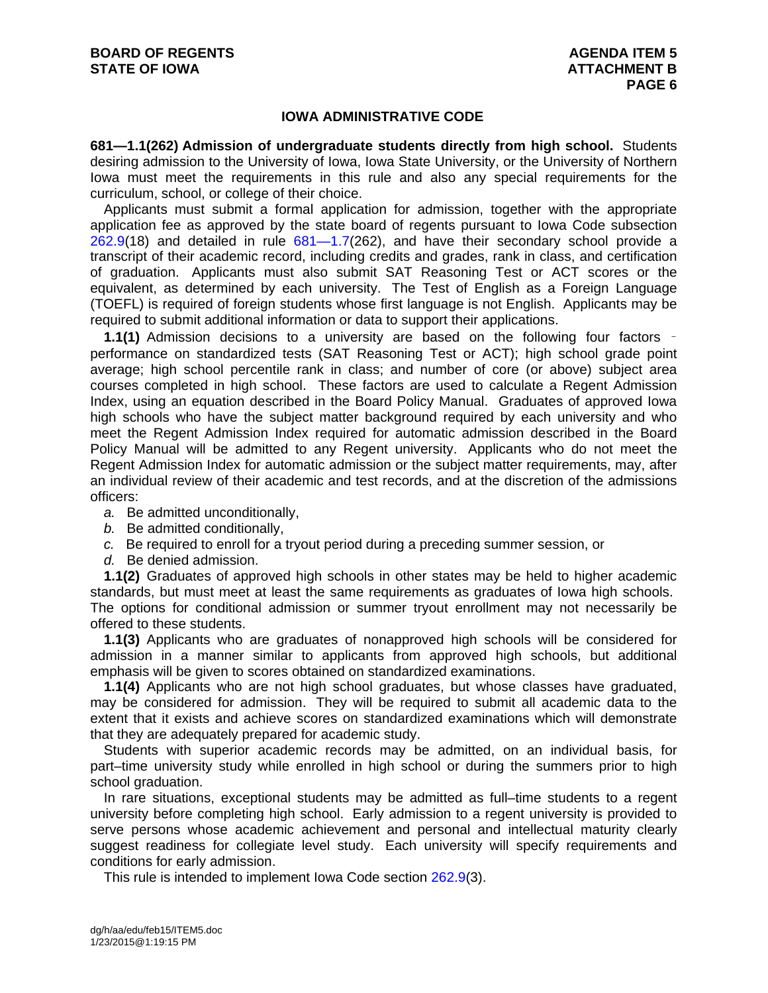#### **IOWA ADMINISTRATIVE CODE**

**681—1.1(262) Admission of undergraduate students directly from high school.** Students desiring admission to the University of Iowa, Iowa State University, or the University of Northern Iowa must meet the requirements in this rule and also any special requirements for the curriculum, school, or college of their choice.

Applicants must submit a formal application for admission, together with the appropriate application fee as approved by the state board of regents pursuant to Iowa Code subsection 262.9(18) and detailed in rule 681—1.7(262), and have their secondary school provide a transcript of their academic record, including credits and grades, rank in class, and certification of graduation. Applicants must also submit SAT Reasoning Test or ACT scores or the equivalent, as determined by each university. The Test of English as a Foreign Language (TOEFL) is required of foreign students whose first language is not English. Applicants may be required to submit additional information or data to support their applications.

**1.1(1)** Admission decisions to a university are based on the following four factors – performance on standardized tests (SAT Reasoning Test or ACT); high school grade point average; high school percentile rank in class; and number of core (or above) subject area courses completed in high school. These factors are used to calculate a Regent Admission Index, using an equation described in the Board Policy Manual. Graduates of approved Iowa high schools who have the subject matter background required by each university and who meet the Regent Admission Index required for automatic admission described in the Board Policy Manual will be admitted to any Regent university. Applicants who do not meet the Regent Admission Index for automatic admission or the subject matter requirements, may, after an individual review of their academic and test records, and at the discretion of the admissions officers:

*a.* Be admitted unconditionally,

- *b.* Be admitted conditionally,
- *c.* Be required to enroll for a tryout period during a preceding summer session, or
- *d.* Be denied admission.

**1.1(2)** Graduates of approved high schools in other states may be held to higher academic standards, but must meet at least the same requirements as graduates of Iowa high schools. The options for conditional admission or summer tryout enrollment may not necessarily be

offered to these students.

**1.1(3)** Applicants who are graduates of nonapproved high schools will be considered for admission in a manner similar to applicants from approved high schools, but additional emphasis will be given to scores obtained on standardized examinations.

**1.1(4)** Applicants who are not high school graduates, but whose classes have graduated, may be considered for admission. They will be required to submit all academic data to the extent that it exists and achieve scores on standardized examinations which will demonstrate that they are adequately prepared for academic study.

Students with superior academic records may be admitted, on an individual basis, for part–time university study while enrolled in high school or during the summers prior to high school graduation.

In rare situations, exceptional students may be admitted as full–time students to a regent university before completing high school. Early admission to a regent university is provided to serve persons whose academic achievement and personal and intellectual maturity clearly suggest readiness for collegiate level study. Each university will specify requirements and conditions for early admission.

This rule is intended to implement Iowa Code section 262.9(3).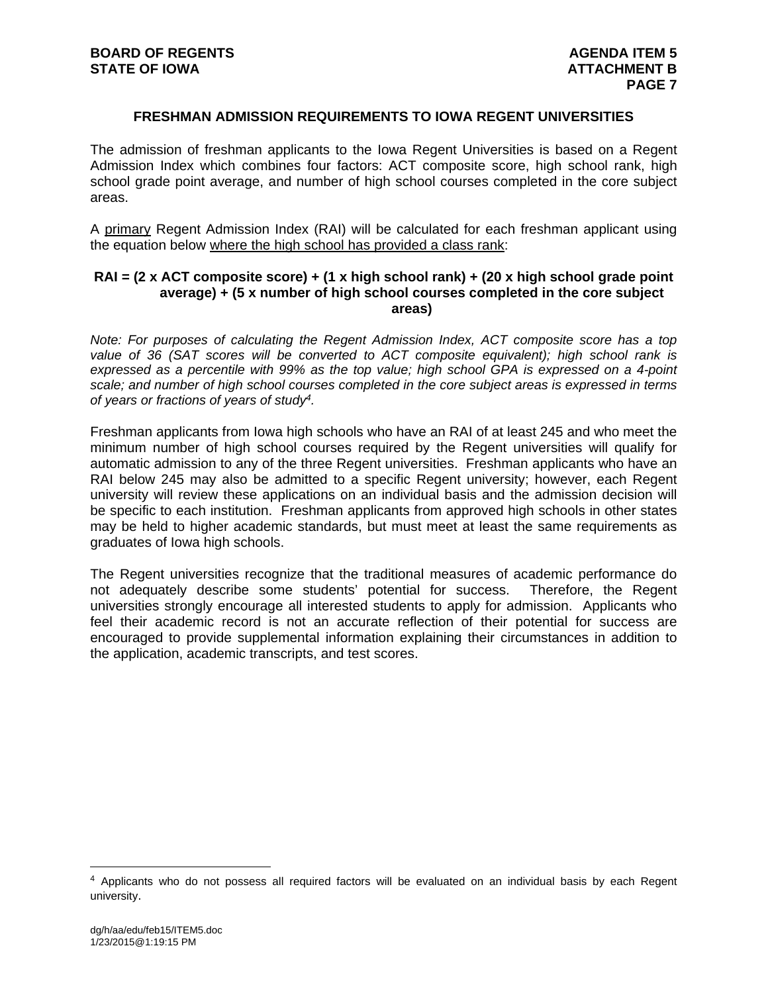## **FRESHMAN ADMISSION REQUIREMENTS TO IOWA REGENT UNIVERSITIES**

The admission of freshman applicants to the Iowa Regent Universities is based on a Regent Admission Index which combines four factors: ACT composite score, high school rank, high school grade point average, and number of high school courses completed in the core subject areas.

A primary Regent Admission Index (RAI) will be calculated for each freshman applicant using the equation below where the high school has provided a class rank:

## **RAI = (2 x ACT composite score) + (1 x high school rank) + (20 x high school grade point average) + (5 x number of high school courses completed in the core subject areas)**

*Note: For purposes of calculating the Regent Admission Index, ACT composite score has a top value of 36 (SAT scores will be converted to ACT composite equivalent); high school rank is expressed as a percentile with 99% as the top value; high school GPA is expressed on a 4-point scale; and number of high school courses completed in the core subject areas is expressed in terms of years or fractions of years of study4.* 

Freshman applicants from Iowa high schools who have an RAI of at least 245 and who meet the minimum number of high school courses required by the Regent universities will qualify for automatic admission to any of the three Regent universities. Freshman applicants who have an RAI below 245 may also be admitted to a specific Regent university; however, each Regent university will review these applications on an individual basis and the admission decision will be specific to each institution. Freshman applicants from approved high schools in other states may be held to higher academic standards, but must meet at least the same requirements as graduates of Iowa high schools.

The Regent universities recognize that the traditional measures of academic performance do not adequately describe some students' potential for success. Therefore, the Regent universities strongly encourage all interested students to apply for admission. Applicants who feel their academic record is not an accurate reflection of their potential for success are encouraged to provide supplemental information explaining their circumstances in addition to the application, academic transcripts, and test scores.

<sup>4</sup> Applicants who do not possess all required factors will be evaluated on an individual basis by each Regent university.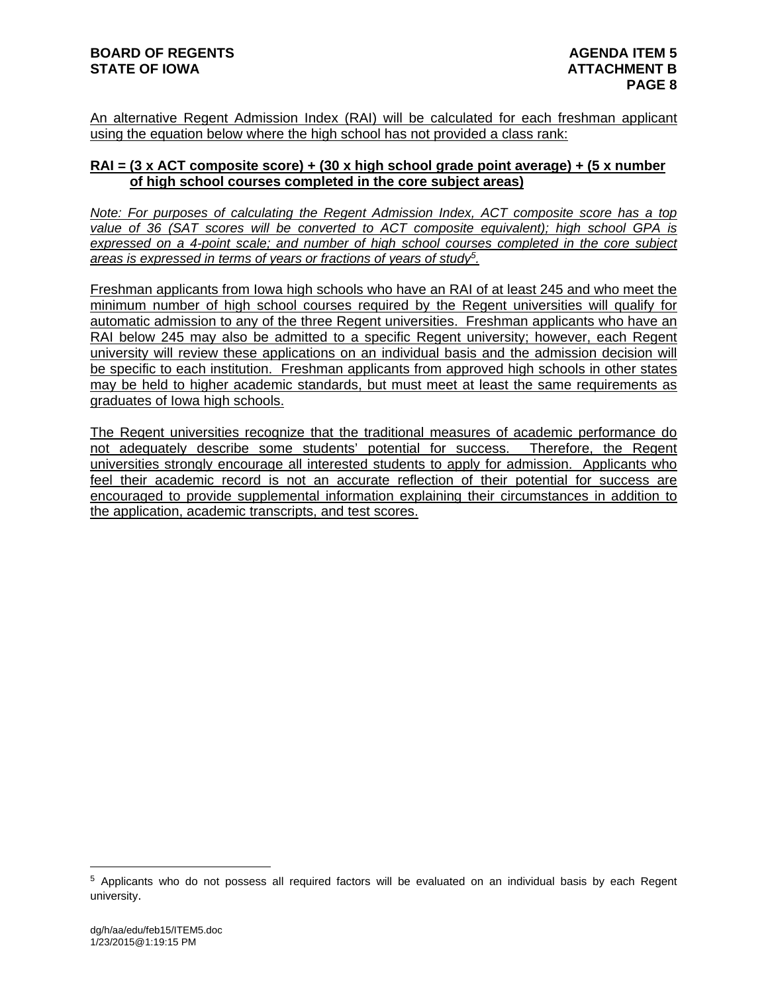An alternative Regent Admission Index (RAI) will be calculated for each freshman applicant using the equation below where the high school has not provided a class rank:

# **RAI = (3 x ACT composite score) + (30 x high school grade point average) + (5 x number of high school courses completed in the core subject areas)**

*Note: For purposes of calculating the Regent Admission Index, ACT composite score has a top value of 36 (SAT scores will be converted to ACT composite equivalent); high school GPA is expressed on a 4-point scale; and number of high school courses completed in the core subject areas is expressed in terms of years or fractions of years of study5.* 

Freshman applicants from Iowa high schools who have an RAI of at least 245 and who meet the minimum number of high school courses required by the Regent universities will qualify for automatic admission to any of the three Regent universities. Freshman applicants who have an RAI below 245 may also be admitted to a specific Regent university; however, each Regent university will review these applications on an individual basis and the admission decision will be specific to each institution. Freshman applicants from approved high schools in other states may be held to higher academic standards, but must meet at least the same requirements as graduates of Iowa high schools.

The Regent universities recognize that the traditional measures of academic performance do not adequately describe some students' potential for success. Therefore, the Regent universities strongly encourage all interested students to apply for admission. Applicants who feel their academic record is not an accurate reflection of their potential for success are encouraged to provide supplemental information explaining their circumstances in addition to the application, academic transcripts, and test scores.

<sup>5</sup> Applicants who do not possess all required factors will be evaluated on an individual basis by each Regent university.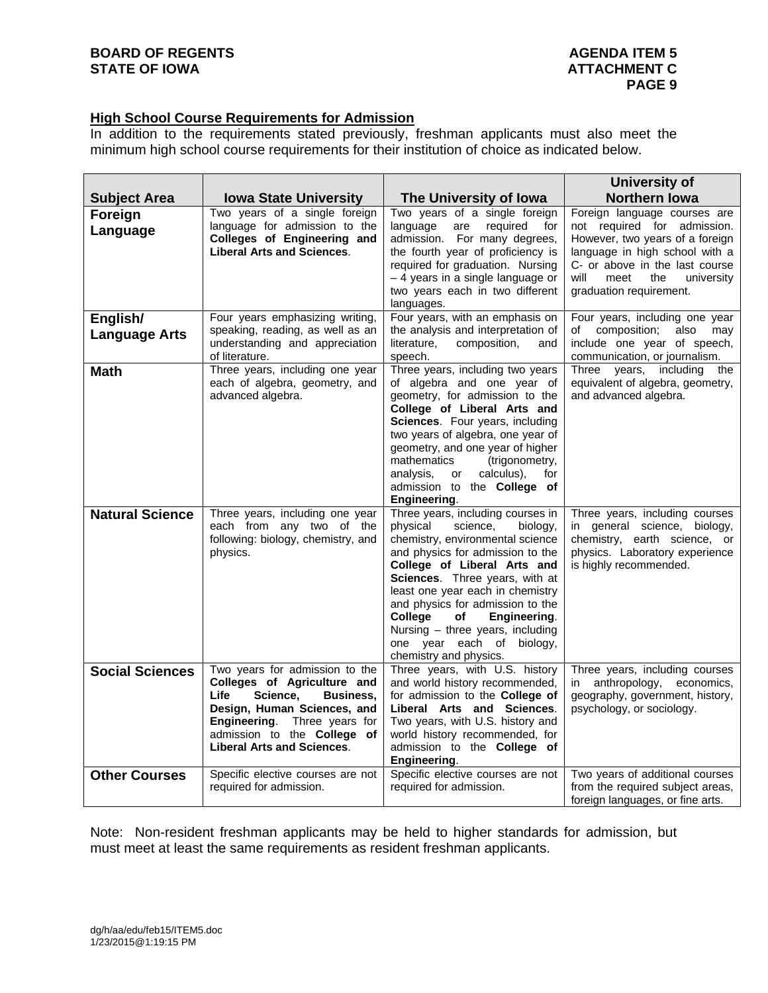# **High School Course Requirements for Admission**

In addition to the requirements stated previously, freshman applicants must also meet the minimum high school course requirements for their institution of choice as indicated below.

|                                  |                                                                                                                                                                                                                                             |                                                                                                                                                                                                                                                                                                                                                                                                                       | University of                                                                                                                                              |
|----------------------------------|---------------------------------------------------------------------------------------------------------------------------------------------------------------------------------------------------------------------------------------------|-----------------------------------------------------------------------------------------------------------------------------------------------------------------------------------------------------------------------------------------------------------------------------------------------------------------------------------------------------------------------------------------------------------------------|------------------------------------------------------------------------------------------------------------------------------------------------------------|
| <b>Subject Area</b>              | <b>Iowa State University</b>                                                                                                                                                                                                                | The University of Iowa                                                                                                                                                                                                                                                                                                                                                                                                | <b>Northern lowa</b>                                                                                                                                       |
| Foreign<br>Language              | Two years of a single foreign<br>language for admission to the<br>Colleges of Engineering and<br><b>Liberal Arts and Sciences.</b>                                                                                                          | Two years of a single foreign<br>language<br>required<br>are<br>for<br>admission. For many degrees,<br>the fourth year of proficiency is                                                                                                                                                                                                                                                                              | Foreign language courses are<br>not required for admission.<br>However, two years of a foreign<br>language in high school with a                           |
|                                  |                                                                                                                                                                                                                                             | required for graduation. Nursing<br>- 4 years in a single language or<br>two years each in two different<br>languages.                                                                                                                                                                                                                                                                                                | C- or above in the last course<br>will<br>meet<br>the<br>university<br>graduation requirement.                                                             |
| English/<br><b>Language Arts</b> | Four years emphasizing writing,<br>speaking, reading, as well as an<br>understanding and appreciation<br>of literature.                                                                                                                     | Four years, with an emphasis on<br>the analysis and interpretation of<br>literature,<br>composition,<br>and<br>speech.                                                                                                                                                                                                                                                                                                | Four years, including one year<br>composition;<br>also<br>of<br>may<br>include one year of speech,<br>communication, or journalism.                        |
| <b>Math</b>                      | Three years, including one year<br>each of algebra, geometry, and<br>advanced algebra.                                                                                                                                                      | Three years, including two years<br>of algebra and one year of<br>geometry, for admission to the<br>College of Liberal Arts and<br>Sciences. Four years, including<br>two years of algebra, one year of<br>geometry, and one year of higher<br>mathematics<br>(trigonometry,<br>calculus),<br>analysis,<br>for<br>or<br>admission to the College of<br>Engineering.                                                   | including<br>Three years,<br>the<br>equivalent of algebra, geometry,<br>and advanced algebra.                                                              |
| <b>Natural Science</b>           | Three years, including one year<br>each from any two of the<br>following: biology, chemistry, and<br>physics.                                                                                                                               | Three years, including courses in<br>physical<br>science,<br>biology,<br>chemistry, environmental science<br>and physics for admission to the<br>College of Liberal Arts and<br>Sciences. Three years, with at<br>least one year each in chemistry<br>and physics for admission to the<br>College<br>Engineering.<br>of<br>Nursing - three years, including<br>one year each of<br>biology,<br>chemistry and physics. | Three years, including courses<br>in general science, biology,<br>chemistry, earth science, or<br>physics. Laboratory experience<br>is highly recommended. |
| <b>Social Sciences</b>           | Two years for admission to the<br>Colleges of Agriculture and<br>Life<br>Science,<br><b>Business,</b><br>Design, Human Sciences, and<br>Engineering.<br>Three years for<br>admission to the College of<br><b>Liberal Arts and Sciences.</b> | Three years, with U.S. history<br>and world history recommended,<br>for admission to the College of<br>Liberal Arts and Sciences.<br>Two years, with U.S. history and<br>world history recommended, for<br>admission to the College of<br>Engineering.                                                                                                                                                                | Three years, including courses<br>anthropology,<br>economics,<br>in<br>geography, government, history,<br>psychology, or sociology.                        |
| <b>Other Courses</b>             | Specific elective courses are not<br>required for admission.                                                                                                                                                                                | Specific elective courses are not<br>required for admission.                                                                                                                                                                                                                                                                                                                                                          | Two years of additional courses<br>from the required subject areas,<br>foreign languages, or fine arts.                                                    |

Note: Non-resident freshman applicants may be held to higher standards for admission, but must meet at least the same requirements as resident freshman applicants.